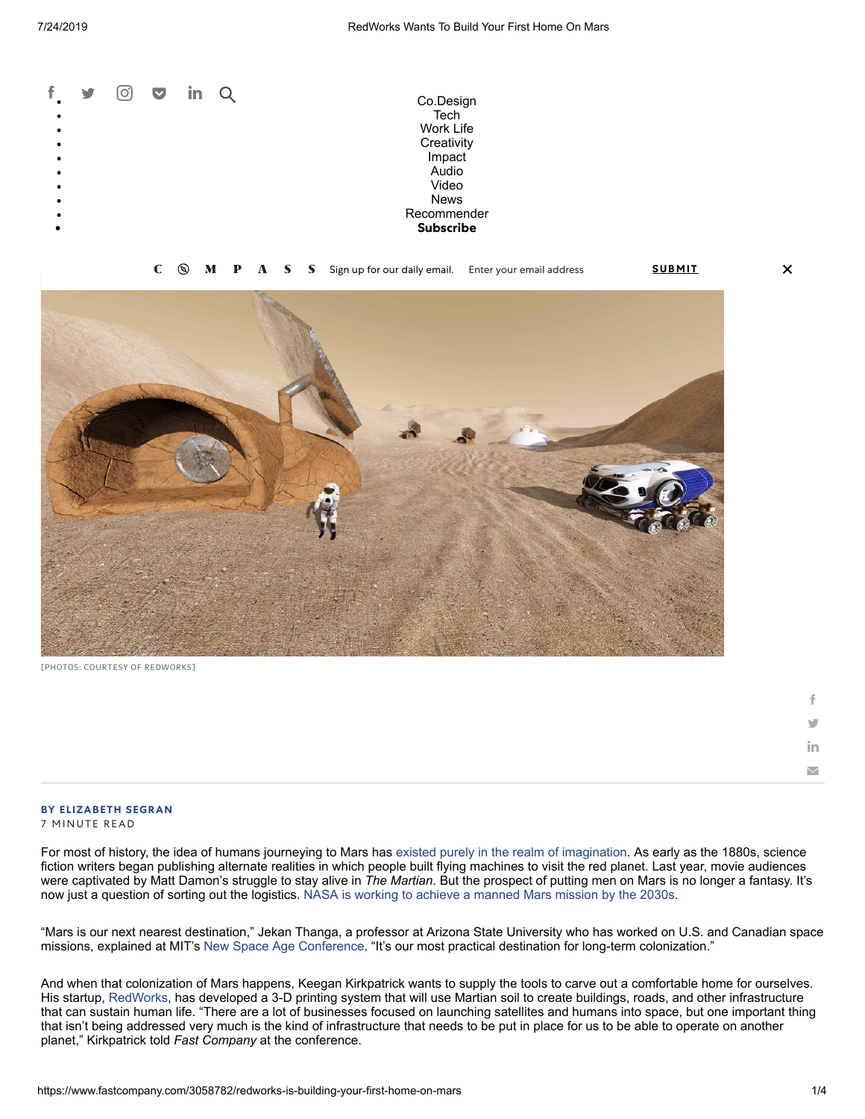



[PHOTOS: COURTESY OF REDWORKS]

| f      |  |
|--------|--|
| v      |  |
| in     |  |
| $\vee$ |  |

 $\boldsymbol{\mathsf{x}}$ 

#### **BY [ELIZABETH](https://www.fastcompany.com/user/elizabeth-segran) SEGRAN** 7 MINUTE READ

For most of history, the idea of humans journeying to Mars has [existed purely in the realm of imagination](https://en.wikipedia.org/wiki/Mars_in_fiction). As early as the 1880s, science fiction writers began publishing alternate realities in which people built flying machines to visit the red planet. Last year, movie audiences were captivated by Matt Damon's struggle to stay alive in *The Martian*. But the prospect of putting men on Mars is no longer a fantasy. It's now just a question of sorting out the logistics. [NASA is working to achieve a manned Mars mission by the 2030s](https://www.nasa.gov/content/nasas-journey-to-mars).

"Mars is our next nearest destination," Jekan Thanga, a professor at Arizona State University who has worked on U.S. and Canadian space missions, explained at MIT's [New Space Age Conference.](http://newspaceage.org/) "It's our most practical destination for long-term colonization."

And when that colonization of Mars happens, Keegan Kirkpatrick wants to supply the tools to carve out a comfortable home for ourselves. His startup, [RedWorks,](http://www.redworks3d.com/) has developed a 3-D printing system that will use Martian soil to create buildings, roads, and other infrastructure that can sustain human life. "There are a lot of businesses focused on launching satellites and humans into space, but one important thing that isn't being addressed very much is the kind of infrastructure that needs to be put in place for us to be able to operate on another planet," Kirkpatrick told *Fast Company* at the conference.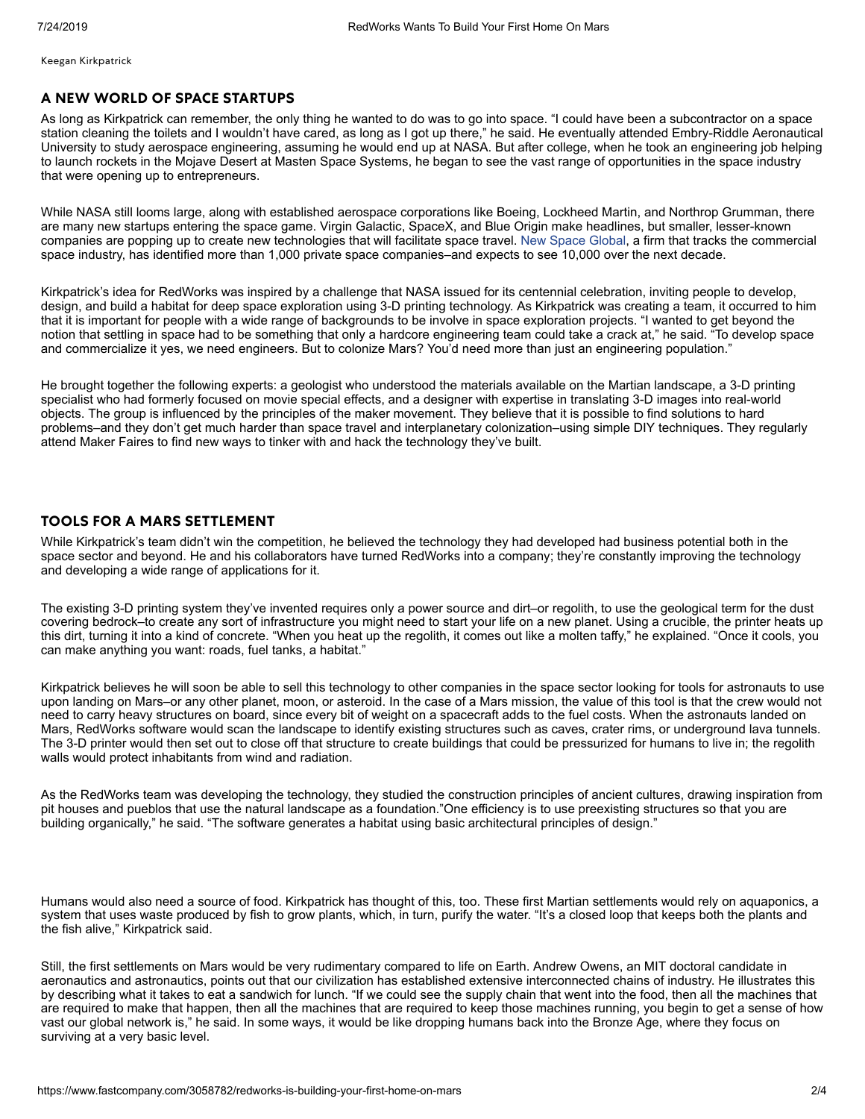Keegan Kirkpatrick

# **A NEW WORLD OF SPACE STARTUPS**

As long as Kirkpatrick can remember, the only thing he wanted to do was to go into space. "I could have been a subcontractor on a space station cleaning the toilets and I wouldn't have cared, as long as I got up there," he said. He eventually attended Embry-Riddle Aeronautical University to study aerospace engineering, assuming he would end up at NASA. But after college, when he took an engineering job helping to launch rockets in the Mojave Desert at Masten Space Systems, he began to see the vast range of opportunities in the space industry that were opening up to entrepreneurs.

While NASA still looms large, along with established aerospace corporations like Boeing, Lockheed Martin, and Northrop Grumman, there are many new startups entering the space game. Virgin Galactic, SpaceX, and Blue Origin make headlines, but smaller, lesser-known companies are popping up to create new technologies that will facilitate space travel. [New Space Global](https://www.newspaceglobal.com/), a firm that tracks the commercial space industry, has identified more than 1,000 private space companies–and expects to see 10,000 over the next decade.

Kirkpatrick's idea for RedWorks was inspired by a challenge that NASA issued for its centennial celebration, inviting people to develop, design, and build a habitat for deep space exploration using 3-D printing technology. As Kirkpatrick was creating a team, it occurred to him that it is important for people with a wide range of backgrounds to be involve in space exploration projects. "I wanted to get beyond the notion that settling in space had to be something that only a hardcore engineering team could take a crack at," he said. "To develop space and commercialize it yes, we need engineers. But to colonize Mars? You'd need more than just an engineering population."

He brought together the following experts: a geologist who understood the materials available on the Martian landscape, a 3-D printing specialist who had formerly focused on movie special effects, and a designer with expertise in translating 3-D images into real-world objects. The group is influenced by the principles of the maker movement. They believe that it is possible to find solutions to hard problems–and they don't get much harder than space travel and interplanetary colonization–using simple DIY techniques. They regularly attend Maker Faires to find new ways to tinker with and hack the technology they've built.

# **TOOLS FOR A MARS SETTLEMENT**

While Kirkpatrick's team didn't win the competition, he believed the technology they had developed had business potential both in the space sector and beyond. He and his collaborators have turned RedWorks into a company; they're constantly improving the technology and developing a wide range of applications for it.

The existing 3-D printing system they've invented requires only a power source and dirt–or regolith, to use the geological term for the dust covering bedrock–to create any sort of infrastructure you might need to start your life on a new planet. Using a crucible, the printer heats up this dirt, turning it into a kind of concrete. "When you heat up the regolith, it comes out like a molten taffy," he explained. "Once it cools, you can make anything you want: roads, fuel tanks, a habitat."

Kirkpatrick believes he will soon be able to sell this technology to other companies in the space sector looking for tools for astronauts to use upon landing on Mars–or any other planet, moon, or asteroid. In the case of a Mars mission, the value of this tool is that the crew would not need to carry heavy structures on board, since every bit of weight on a spacecraft adds to the fuel costs. When the astronauts landed on Mars, RedWorks software would scan the landscape to identify existing structures such as caves, crater rims, or underground lava tunnels. The 3-D printer would then set out to close off that structure to create buildings that could be pressurized for humans to live in; the regolith walls would protect inhabitants from wind and radiation.

As the RedWorks team was developing the technology, they studied the construction principles of ancient cultures, drawing inspiration from pit houses and pueblos that use the natural landscape as a foundation."One efficiency is to use preexisting structures so that you are building organically," he said. "The software generates a habitat using basic architectural principles of design."

Humans would also need a source of food. Kirkpatrick has thought of this, too. These first Martian settlements would rely on aquaponics, a system that uses waste produced by fish to grow plants, which, in turn, purify the water. "It's a closed loop that keeps both the plants and the fish alive," Kirkpatrick said.

Still, the first settlements on Mars would be very rudimentary compared to life on Earth. Andrew Owens, an MIT doctoral candidate in aeronautics and astronautics, points out that our civilization has established extensive interconnected chains of industry. He illustrates this by describing what it takes to eat a sandwich for lunch. "If we could see the supply chain that went into the food, then all the machines that are required to make that happen, then all the machines that are required to keep those machines running, you begin to get a sense of how vast our global network is," he said. In some ways, it would be like dropping humans back into the Bronze Age, where they focus on surviving at a very basic level.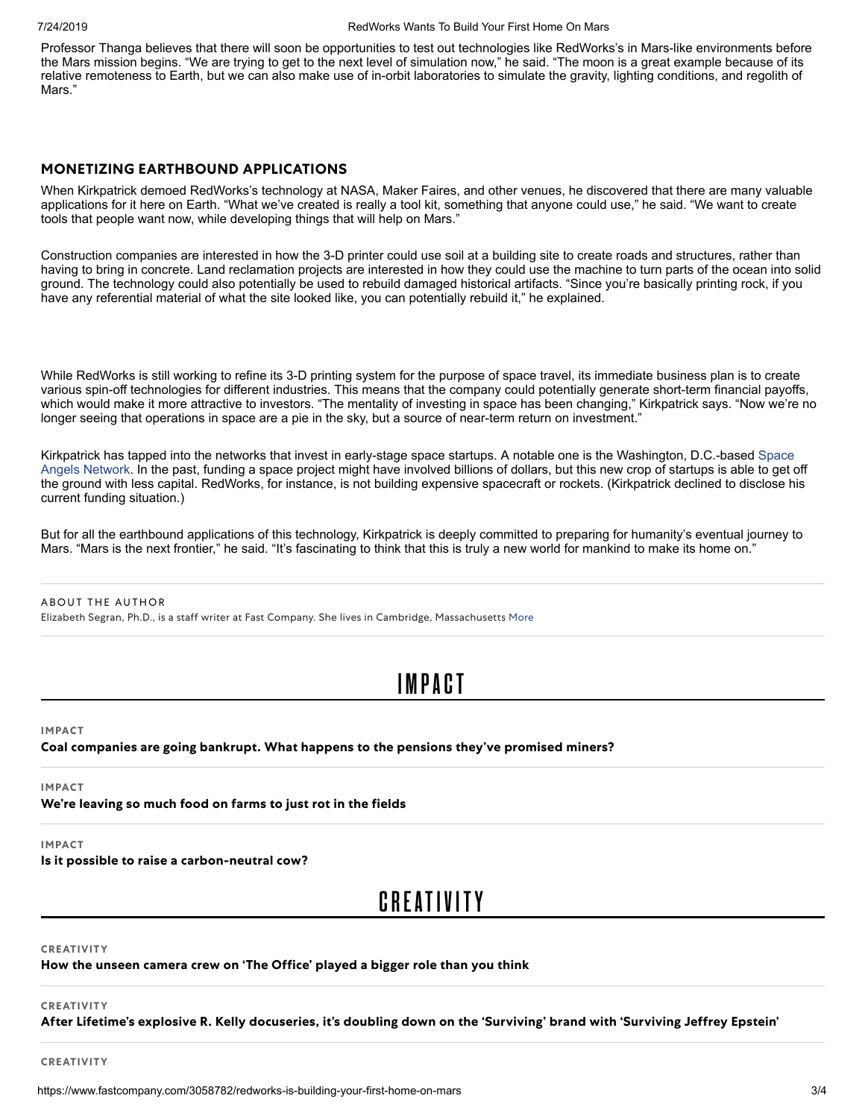Professor Thanga believes that there will soon be opportunities to test out technologies like RedWorks's in Mars-like environments before the Mars mission begins. "We are trying to get to the next level of simulation now," he said. "The moon is a great example because of its relative remoteness to Earth, but we can also make use of in-orbit laboratories to simulate the gravity, lighting conditions, and regolith of Mars."

### **MONETIZING EARTHBOUND APPLICATIONS**

When Kirkpatrick demoed RedWorks's technology at NASA, Maker Faires, and other venues, he discovered that there are many valuable applications for it here on Earth. "What we've created is really a tool kit, something that anyone could use," he said. "We want to create tools that people want now, while developing things that will help on Mars."

Construction companies are interested in how the 3-D printer could use soil at a building site to create roads and structures, rather than having to bring in concrete. Land reclamation projects are interested in how they could use the machine to turn parts of the ocean into solid ground. The technology could also potentially be used to rebuild damaged historical artifacts. "Since you're basically printing rock, if you have any referential material of what the site looked like, you can potentially rebuild it," he explained.

While RedWorks is still working to refine its 3-D printing system for the purpose of space travel, its immediate business plan is to create various spin-off technologies for different industries. This means that the company could potentially generate short-term financial payoffs, which would make it more attractive to investors. "The mentality of investing in space has been changing," Kirkpatrick says. "Now we're no longer seeing that operations in space are a pie in the sky, but a source of near-term return on investment."

[Kirkpatrick has tapped into the networks that invest in early-stage space startups. A notable one is the Washington, D.C.-based Space](http://spaceangelsnetwork.com/) Angels Network. In the past, funding a space project might have involved billions of dollars, but this new crop of startups is able to get off the ground with less capital. RedWorks, for instance, is not building expensive spacecraft or rockets. (Kirkpatrick declined to disclose his current funding situation.)

But for all the earthbound applications of this technology, Kirkpatrick is deeply committed to preparing for humanity's eventual journey to Mars. "Mars is the next frontier," he said. "It's fascinating to think that this is truly a new world for mankind to make its home on."

#### ABOUT THE AUTHOR

Elizabeth Segran, Ph.D., is a staff writer at Fast Company. She lives in Cambridge, Massachusetts [More](https://www.fastcompany.com/user/elizabeth-segran)

# [IMPACT](https://www.fastcompany.com/ideas)

**IMPACT**

**Coal [companies](https://www.fastcompany.com/90381145/coal-companies-are-going-bankrupt-what-happens-to-the-pensions-theyve-promised-miners) are going bankrupt. What happens to the pensions they've promised miners?**

**IMPACT**

**We're [leaving](https://www.fastcompany.com/90380088/were-leaving-so-much-food-on-farms-to-just-rot-in-the-fields) so much food on farms to just rot in the fields**

**IMPACT**

**Is it possible to raise a [carbon-neutral](https://www.fastcompany.com/90368127/is-it-possible-to-raise-a-carbon-neutral-cow) cow?**

# **[CRE](https://www.fastcompany.com/entertainment)ATIVITY**

#### **[CREATIVITY](https://www.fastcompany.com/90381272/how-the-unseen-camera-crew-on-the-office-played-a-bigger-role-than-you-think)**

**How the unseen camera crew on 'The Office' played a bigger role than you think**

#### **CREATIVITY**

After Lifetime's explosive R. Kelly [docuseries,](https://www.fastcompany.com/90380787/lifetime-explosive-r-kelly-docuseries-doubling-down-surviving-brand-surviving-jeffrey-epstein) it's doubling down on the 'Surviving' brand with 'Surviving Jeffrey Epstein'

#### **[CREATIVITY](https://www.fastcompany.com/90380662/why-the-average-facebook-user-needs-to-watch-netflixs-the-great-hack-right-now)**

https://www.fastcompany.com/3058782/redworks-is-building-your-first-home-on-mars 3/4